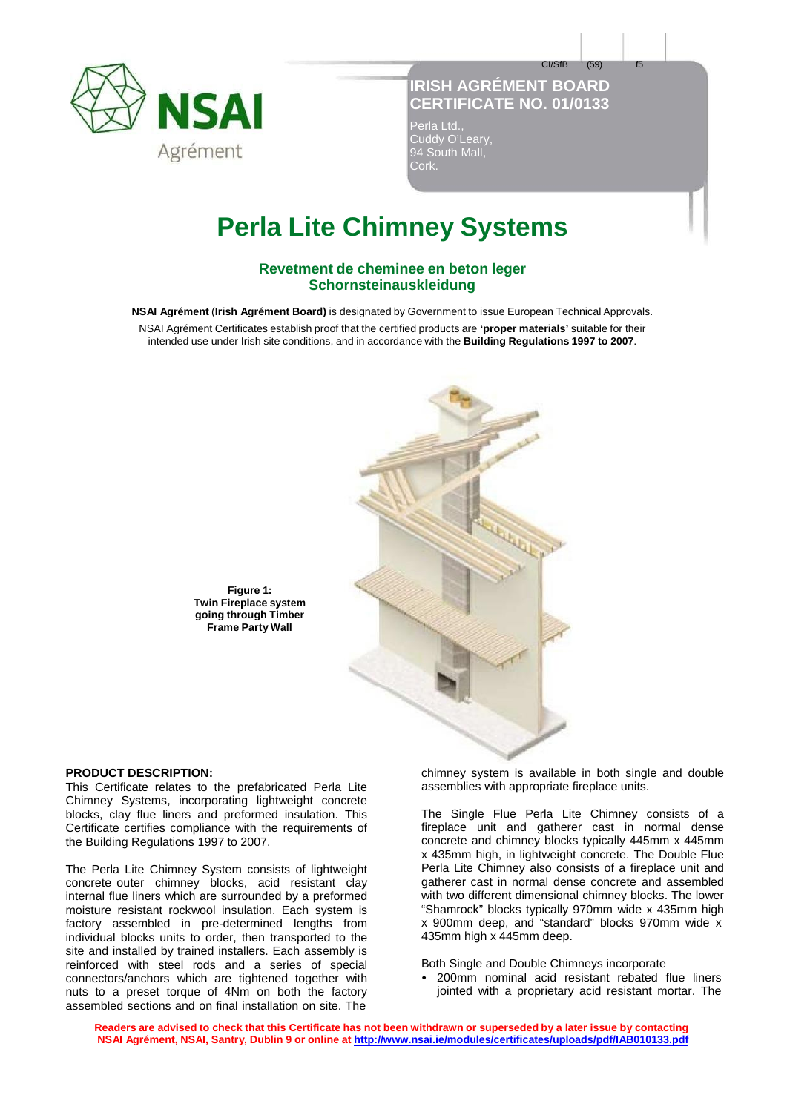

# **IRISH AGRÉMENT BOARD CERTIFICATE NO. 01/0133**

CI/SfB (59) f5

Perla Ltd., Cuddy O'Leary, 94 South Mall, Cork.

# **Perla Lite Chimney Systems**

## **Revetment de cheminee en beton leger Schornsteinauskleidung**

**NSAI Agrément** (**Irish Agrément Board)** is designated by Government to issue European Technical Approvals.

NSAI Agrément Certificates establish proof that the certified products are **'proper materials'** suitable for their intended use under Irish site conditions, and in accordance with the **Building Regulations 1997 to 2007**.



**Figure 1: Twin Fireplace system going through Timber Frame Party Wall**

### **PRODUCT DESCRIPTION:**

This Certificate relates to the prefabricated Perla Lite Chimney Systems, incorporating lightweight concrete blocks, clay flue liners and preformed insulation. This Certificate certifies compliance with the requirements of the Building Regulations 1997 to 2007.

The Perla Lite Chimney System consists of lightweight concrete outer chimney blocks, acid resistant clay internal flue liners which are surrounded by a preformed moisture resistant rockwool insulation. Each system is factory assembled in pre-determined lengths from individual blocks units to order, then transported to the site and installed by trained installers. Each assembly is reinforced with steel rods and a series of special connectors/anchors which are tightened together with nuts to a preset torque of 4Nm on both the factory assembled sections and on final installation on site. The

chimney system is available in both single and double assemblies with appropriate fireplace units.

The Single Flue Perla Lite Chimney consists of a fireplace unit and gatherer cast in normal dense concrete and chimney blocks typically 445mm x 445mm x 435mm high, in lightweight concrete. The Double Flue Perla Lite Chimney also consists of a fireplace unit and gatherer cast in normal dense concrete and assembled with two different dimensional chimney blocks. The lower "Shamrock" blocks typically 970mm wide x 435mm high x 900mm deep, and "standard" blocks 970mm wide x 435mm high x 445mm deep.

Both Single and Double Chimneys incorporate

• 200mm nominal acid resistant rebated flue liners jointed with a proprietary acid resistant mortar. The

Readers are advised to check that this Certificate has not been withdrawn or superseded by a later issue by contacting **NSAI Agrément, NSAI, Santry, Dublin 9 or online at http://www.nsai.ie/modules/certificates/uploads/pdf/IAB010133.pdf**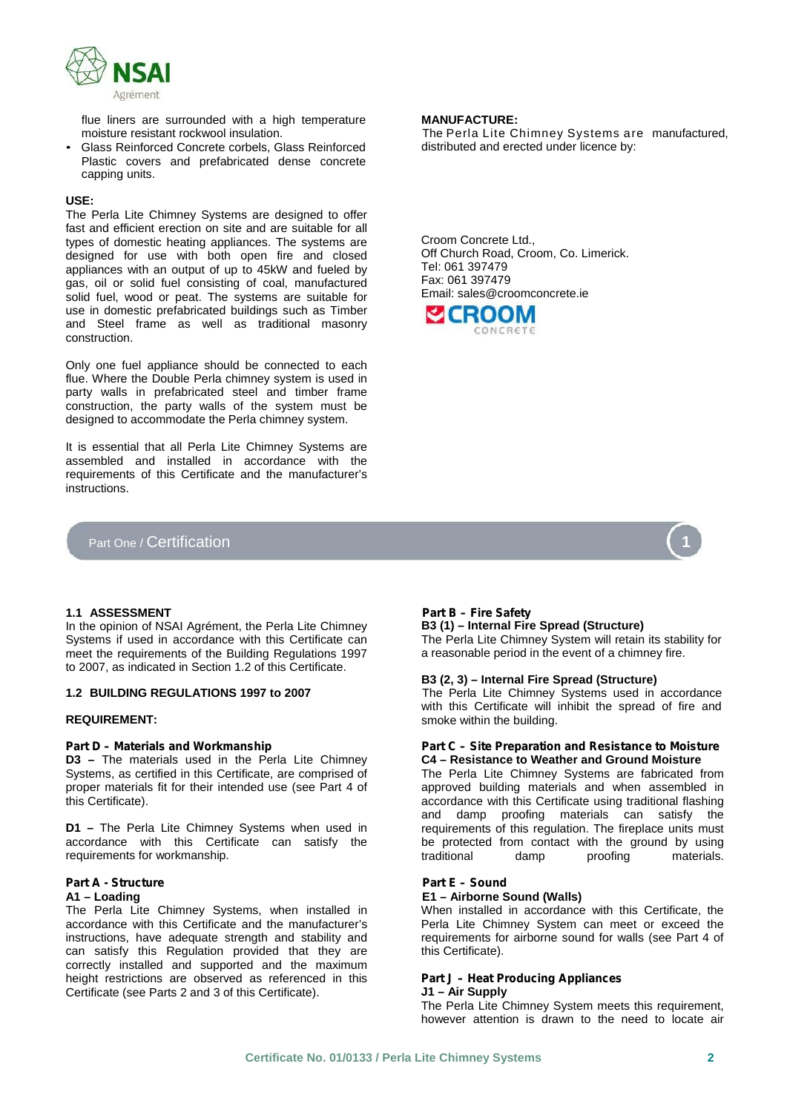

flue liners are surrounded with a high temperature **MANUFACTURE:**

Glass Reinforced Concrete corbels, Glass Reinforced Plastic covers and prefabricated dense concrete capping units.

### **USE:**

The Perla Lite Chimney Systems are designed to offer fast and efficient erection on site and are suitable for all types of domestic heating appliances. The systems are designed for use with both open fire and closed appliances with an output of up to 45kW and fueled by gas, oil or solid fuel consisting of coal, manufactured solid fuel, wood or peat. The systems are suitable for use in domestic prefabricated buildings such as Timber and Steel frame as well as traditional masonry construction.

Only one fuel appliance should be connected to each flue. Where the Double Perla chimney system is used in party walls in prefabricated steel and timber frame construction, the party walls of the system must be designed to accommodate the Perla chimney system.

It is essential that all Perla Lite Chimney Systems are assembled and installed in accordance with the requirements of this Certificate and the manufacturer's instructions.

# Part One / Certification

distributed and erected under licence by:

Croom Concrete Ltd., Off Church Road, Croom, Co. Limerick. Tel: 061 397479 Fax: 061 397479 Email: sales@croomconcrete.ie





### **1.1 ASSESSMENT** *Part B – Fire Safety*

In the opinion of NSAI Agrément, the Perla Lite Chimney Systems if used in accordance with this Certificate can meet the requirements of the Building Regulations 1997 to 2007, as indicated in Section 1.2 of this Certificate.

**D3 –** The materials used in the Perla Lite Chimney Systems, as certified in this Certificate, are comprised of proper materials fit for their intended use (see Part 4 of this Certificate).

**D1 –** The Perla Lite Chimney Systems when used in accordance with this Certificate can satisfy the requirements for workmanship.

# *Part A - Structure Part E –Sound*

The Perla Lite Chimney Systems, when installed in accordance with this Certificate and the manufacturer's instructions, have adequate strength and stability and can satisfy this Regulation provided that they are correctly installed and supported and the maximum height restrictions are observed as referenced in this Certificate (see Parts 2 and 3 of this Certificate).

**B3 (1) – Internal Fire Spread (Structure)** The Perla Lite Chimney System will retain its stability for a reasonable period in the event of a chimney fire.

### **B3 (2, 3) – Internal Fire Spread (Structure)**

**1.2 BUILDING REGULATIONS 1997 to 2007** The Perla Lite Chimney Systems used in accordance with this Certificate will inhibit the spread of fire and **REQUIREMENT:** The smoke within the building.

#### *Part D – Materials and Workmanship Part C – Site Preparation and Resistance to Moisture* **C4 – Resistance to Weather and Ground Moisture**

The Perla Lite Chimney Systems are fabricated from approved building materials and when assembled in accordance with this Certificate using traditional flashing and damp proofing materials can satisfy the requirements of this regulation. The fireplace units must be protected from contact with the ground by using traditional damp proofing materials.

#### **A1 – Loading E1 – Airborne Sound (Walls)**

When installed in accordance with this Certificate, the Perla Lite Chimney System can meet or exceed the requirements for airborne sound for walls (see Part 4 of this Certificate).

#### *Part J – Heat Producing Appliances* **J1 – Air Supply**

The Perla Lite Chimney System meets this requirement, however attention is drawn to the need to locate air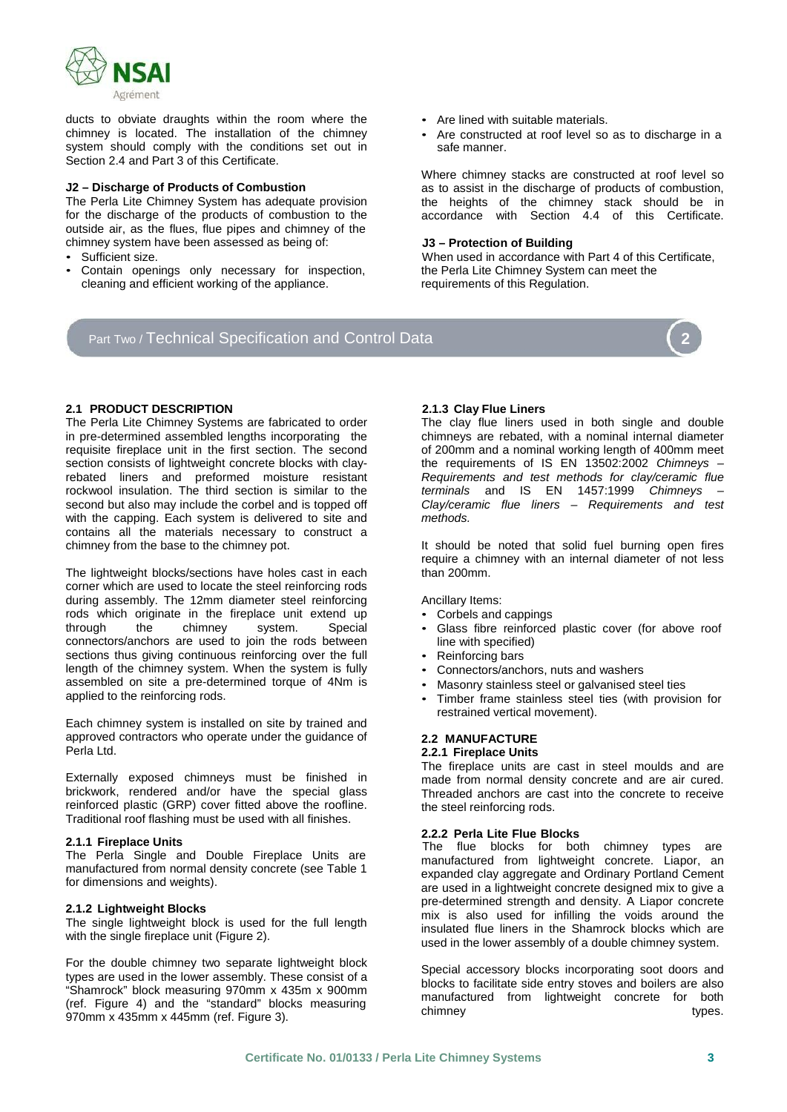

ducts to obviate draughts within the room where the chimney is located. The installation of the chimney system should comply with the conditions set out in Section 2.4 and Part 3 of this Certificate.

### **J2 – Discharge of Products of Combustion**

The Perla Lite Chimney System has adequate provision for the discharge of the products of combustion to the outside air, as the flues, flue pipes and chimney of the chimney system have been assessed as being of: **J3 – Protection of Building**

- 
- cleaning and efficient working of the appliance.
- 
- Are lined with suitable materials. Are constructed at roof level so as to discharge in <sup>a</sup> safe manner.

Where chimney stacks are constructed at roof level so as to assist in the discharge of products of combustion, the heights of the chimney stack should be in accordance with Section 4.4 of this Certificate.

• Sufficient size. When used in accordance with Part <sup>4</sup> of this Certificate, • Contain openings only necessary for inspection, the Perla Lite Chimney System can meet the requirements of this Regulation.

# Part Two / Technical Specification and Control Data **2**



### **2.1 PRODUCT DESCRIPTION 2.1.3 Clay Flue Liners**

The Perla Lite Chimney Systems are fabricated to order in pre-determined assembled lengths incorporating the requisite fireplace unit in the first section. The second section consists of lightweight concrete blocks with clayrebated liners and preformed moisture resistant rockwool insulation. The third section is similar to the second but also may include the corbel and is topped off with the capping. Each system is delivered to site and contains all the materials necessary to construct a chimney from the base to the chimney pot.

The lightweight blocks/sections have holes cast in each corner which are used to locate the steel reinforcing rods during assembly. The 12mm diameter steel reinforcing rods which originate in the fireplace unit extend up<br>through the chimney system. Special chimney system. Special connectors/anchors are used to join the rods between sections thus giving continuous reinforcing over the full length of the chimney system. When the system is fully assembled on site a pre-determined torque of 4Nm is applied to the reinforcing rods.

Each chimney system is installed on site by trained and approved contractors who operate under the guidance of Perla Ltd.

Externally exposed chimneys must be finished in brickwork, rendered and/or have the special glass reinforced plastic (GRP) cover fitted above the roofline. Traditional roof flashing must be used with all finishes.

The Perla Single and Double Fireplace Units are manufactured from normal density concrete (see Table 1 for dimensions and weights).

### **2.1.2 Lightweight Blocks**

The single lightweight block is used for the full length with the single fireplace unit (Figure 2).

For the double chimney two separate lightweight block types are used in the lower assembly. These consist of a "Shamrock" block measuring 970mm x 435m x 900mm (ref. Figure 4) and the "standard" blocks measuring 970mm x 435mm x 445mm (ref. Figure 3).

The clay flue liners used in both single and double chimneys are rebated, with a nominal internal diameter of 200mm and a nominal working length of 400mm meet the requirements of IS EN 13502:2002 *Chimneys – Requirements and test methods for clay/ceramic flue terminals* and IS EN 1457:1999 *Chimneys – Clay/ceramic flue liners – Requirements and test methods.*

It should be noted that solid fuel burning open fires require a chimney with an internal diameter of not less than 200mm.

- Ancillary Items:<br>• Corbels and cappings
- Glass fibre reinforced plastic cover (for above roof line with specified)
- Reinforcing bars
- Connectors/anchors, nuts and washers
- Masonry stainless steel or galvanised steel ties
- Timber frame stainless steel ties (with provision for restrained vertical movement).

#### **2.2 MANUFACTURE 2.2.1 Fireplace Units**

The fireplace units are cast in steel moulds and are made from normal density concrete and are air cured. Threaded anchors are cast into the concrete to receive the steel reinforcing rods.

**2.2.2 Perla Lite Flue Blocks 2.1.1 Fireplace Units** The flue blocks for both chimney types are manufactured from lightweight concrete. Liapor, an expanded clay aggregate and Ordinary Portland Cement are used in a lightweight concrete designed mix to give a pre-determined strength and density. A Liapor concrete mix is also used for infilling the voids around the insulated flue liners in the Shamrock blocks which are used in the lower assembly of a double chimney system.

> Special accessory blocks incorporating soot doors and blocks to facilitate side entry stoves and boilers are also manufactured from lightweight concrete for both chimney types.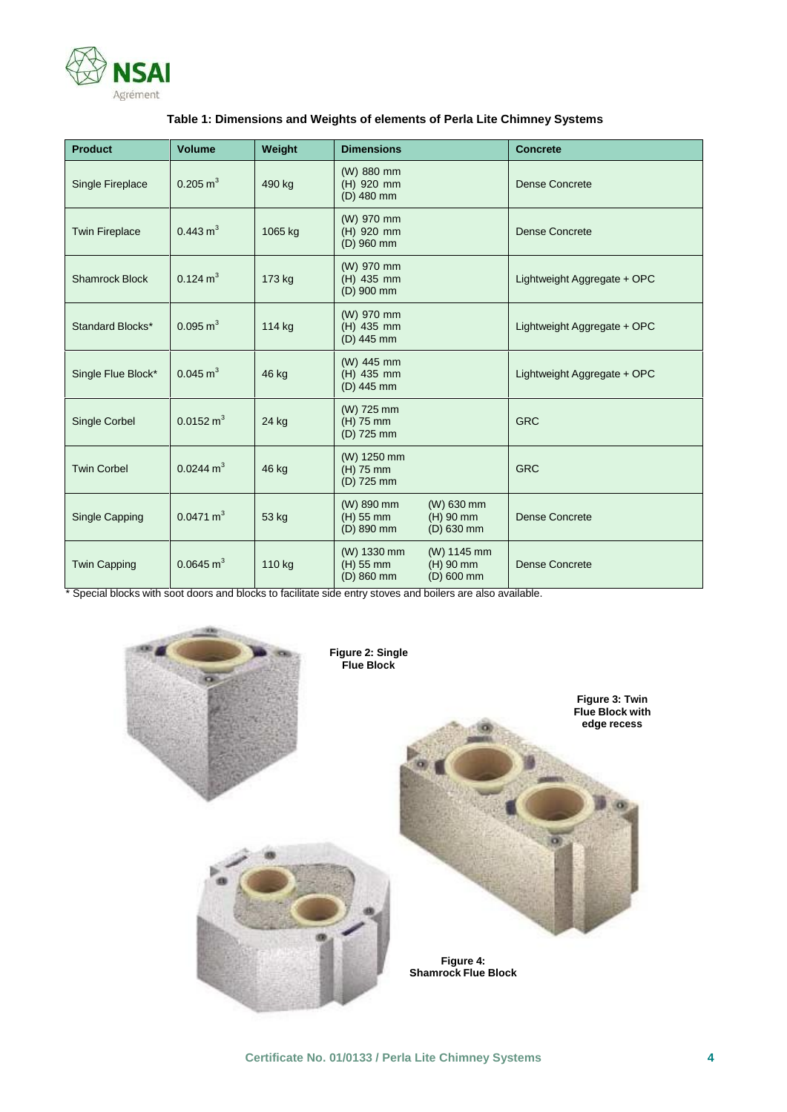

| <b>Product</b>        | <b>Volume</b>        | Weight  | <b>Dimensions</b>                      |                                           | <b>Concrete</b>             |
|-----------------------|----------------------|---------|----------------------------------------|-------------------------------------------|-----------------------------|
| Single Fireplace      | $0.205 \text{ m}^3$  | 490 kg  | (W) 880 mm<br>(H) 920 mm<br>(D) 480 mm |                                           | <b>Dense Concrete</b>       |
| <b>Twin Fireplace</b> | $0.443 \text{ m}^3$  | 1065 kg | (W) 970 mm<br>(H) 920 mm<br>(D) 960 mm |                                           | Dense Concrete              |
| <b>Shamrock Block</b> | $0.124 \text{ m}^3$  | 173 kg  | (W) 970 mm<br>(H) 435 mm<br>(D) 900 mm |                                           | Lightweight Aggregate + OPC |
| Standard Blocks*      | $0.095 \text{ m}^3$  | 114 kg  | (W) 970 mm<br>(H) 435 mm<br>(D) 445 mm |                                           | Lightweight Aggregate + OPC |
| Single Flue Block*    | $0.045 \text{ m}^3$  | 46 kg   | (W) 445 mm<br>(H) 435 mm<br>(D) 445 mm |                                           | Lightweight Aggregate + OPC |
| <b>Single Corbel</b>  | $0.0152 \text{ m}^3$ | 24 kg   | (W) 725 mm<br>(H) 75 mm<br>(D) 725 mm  |                                           | <b>GRC</b>                  |
| <b>Twin Corbel</b>    | $0.0244 \text{ m}^3$ | 46 kg   | (W) 1250 mm<br>(H) 75 mm<br>(D) 725 mm |                                           | <b>GRC</b>                  |
| Single Capping        | $0.0471 \text{ m}^3$ | 53 kg   | (W) 890 mm<br>(H) 55 mm<br>(D) 890 mm  | (W) 630 mm<br>$(H)$ 90 mm<br>$(D)$ 630 mm | <b>Dense Concrete</b>       |
| <b>Twin Capping</b>   | $0.0645 \text{ m}^3$ | 110 kg  | (W) 1330 mm<br>(H) 55 mm<br>(D) 860 mm | (W) 1145 mm<br>$(H)$ 90 mm<br>(D) 600 mm  | <b>Dense Concrete</b>       |

\* Special blocks with soot doors and blocks to facilitate side entry stoves and boilers are also available.

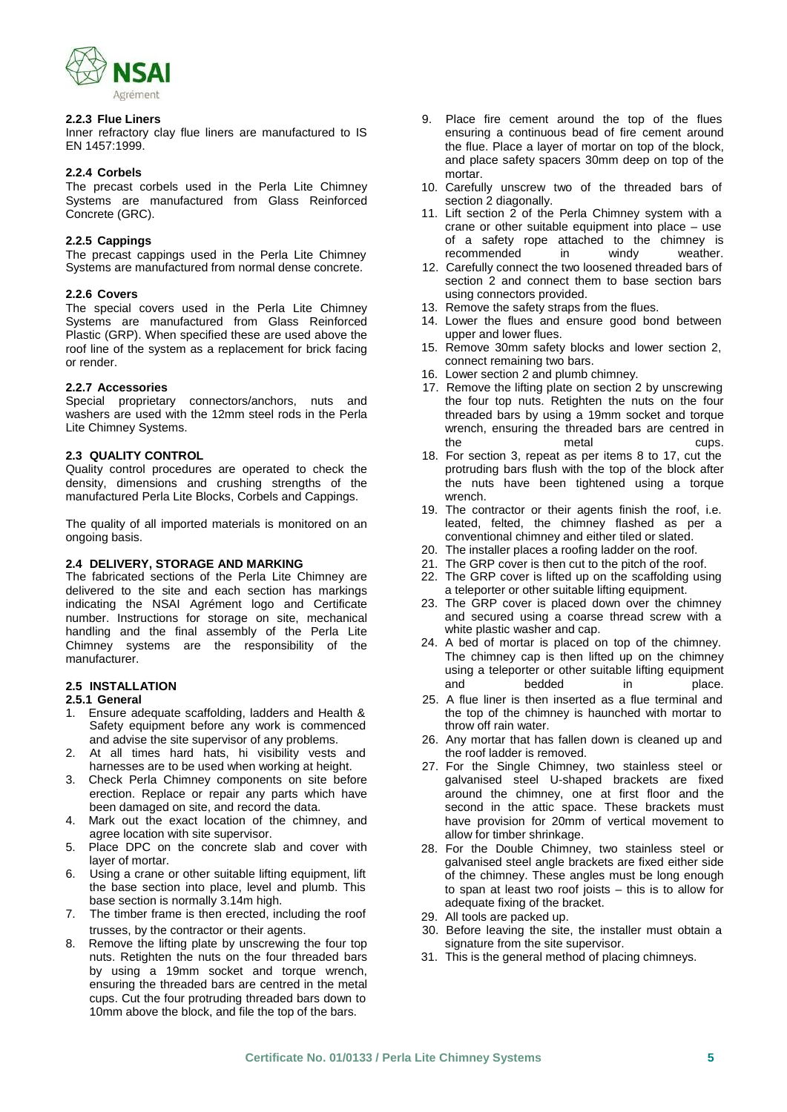

Inner refractory clay flue liners are manufactured to IS EN 1457:1999.

### **2.2.4 Corbels**

The precast corbels used in the Perla Lite Chimney Systems are manufactured from Glass Reinforced Concrete (GRC).

### **2.2.5 Cappings**

The precast cappings used in the Perla Lite Chimney<br>Systems are manufactured from normal dense concrete.

### **2.2.6 Covers**

The special covers used in the Perla Lite Chimney Systems are manufactured from Glass Reinforced Plastic (GRP). When specified these are used above the roof line of the system as a replacement for brick facing or render.

Special proprietary connectors/anchors, nuts and washers are used with the 12mm steel rods in the Perla Lite Chimney Systems.

Quality control procedures are operated to check the density, dimensions and crushing strengths of the manufactured Perla Lite Blocks, Corbels and Cappings.

The quality of all imported materials is monitored on an ongoing basis.

The fabricated sections of the Perla Lite Chimney are delivered to the site and each section has markings indicating the NSAI Agrément logo and Certificate number. Instructions for storage on site, mechanical handling and the final assembly of the Perla Lite Chimney systems are the responsibility of the manufacturer.

# **2.5 INSTALLATION**

- 1. Ensure adequate scaffolding, ladders and Health & Safety equipment before any work is commenced
- 2. At all times hard hats, hi visibility vests and
- 3. Check Perla Chimney components on site before erection. Replace or repair any parts which have been damaged on site, and record the data.
- 4. Mark out the exact location of the chimney, and agree location with site supervisor.
- 5. Place DPC on the concrete slab and cover with layer of mortar.
- 6. Using a crane or other suitable lifting equipment, lift the base section into place, level and plumb. This base section is normally 3.14m high.
- 7. The timber frame is then erected, including the roof
- 8. Remove the lifting plate by unscrewing the four top nuts. Retighten the nuts on the four threaded bars by using a 19mm socket and torque wrench, ensuring the threaded bars are centred in the metal cups. Cut the four protruding threaded bars down to 10mm above the block, and file the top of the bars.
- **2.2.3 Flue Liners** 9. Place fire cement around the top of the flues ensuring a continuous bead of fire cement around the flue. Place a layer of mortar on top of the block, and place safety spacers 30mm deep on top of the mortar.
	- 10. Carefully unscrew two of the threaded bars of section 2 diagonally.
	- 11. Lift section 2 of the Perla Chimney system with a crane or other suitable equipment into place – use of a safety rope attached to the chimney is<br>recommended in windy weather. recommended in windy weather.
	- 12. Carefully connect the two loosened threaded bars of section 2 and connect them to base section bars using connectors provided.
	- 13. Remove the safety straps from the flues.
	- 14. Lower the flues and ensure good bond between upper and lower flues.
	- 15. Remove 30mm safety blocks and lower section 2, connect remaining two bars.
	- 16. Lower section 2 and plumb chimney.
- **2.2.7 Accessories** 17. Remove the lifting plate on section 2 by unscrewing the four top nuts. Retighten the nuts on the four threaded bars by using a 19mm socket and torque wrench, ensuring the threaded bars are centred in the metal cups.
- **2.3 QUALITY CONTROL** 18. For section 3, repeat as per items 8 to 17, cut the protruding bars flush with the top of the block after the nuts have been tightened using a torque wrench.
	- 19. The contractor or their agents finish the roof, i.e. leated, felted, the chimney flashed as per a conventional chimney and either tiled or slated.
	- 20. The installer places a roofing ladder on the roof.
- **2.4 DELIVERY, STORAGE AND MARKING** 21. The GRP cover is then cut to the pitch of the roof.
	- 22. The GRP cover is lifted up on the scaffolding using a teleporter or other suitable lifting equipment.
	- 23. The GRP cover is placed down over the chimney and secured using a coarse thread screw with a white plastic washer and cap.
	- 24. A bed of mortar is placed on top of the chimney. The chimney cap is then lifted up on the chimney using a teleporter or other suitable lifting equipment and bedded in place.
	- 25. A flue liner is then inserted as a flue terminal and the top of the chimney is haunched with mortar to throw off rain water.
	- and advise the site supervisor of any problems.<br>
	At all times hard hats, hi visibility vests and the roof ladder is removed.
	- harnesses are to be used when working at height. 27. For the Single Chimney, two stainless steel or galvanised steel U-shaped brackets are fixed around the chimney, one at first floor and the second in the attic space. These brackets must have provision for 20mm of vertical movement to allow for timber shrinkage.
		- 28. For the Double Chimney, two stainless steel or galvanised steel angle brackets are fixed either side of the chimney. These angles must be long enough to span at least two roof joists – this is to allow for adequate fixing of the bracket.
		- 29. All tools are packed up.
	- trusses, by the contractor or their agents. 30. Before leaving the site, the installer must obtain a signature from the site supervisor.
		- 31. This is the general method of placing chimneys.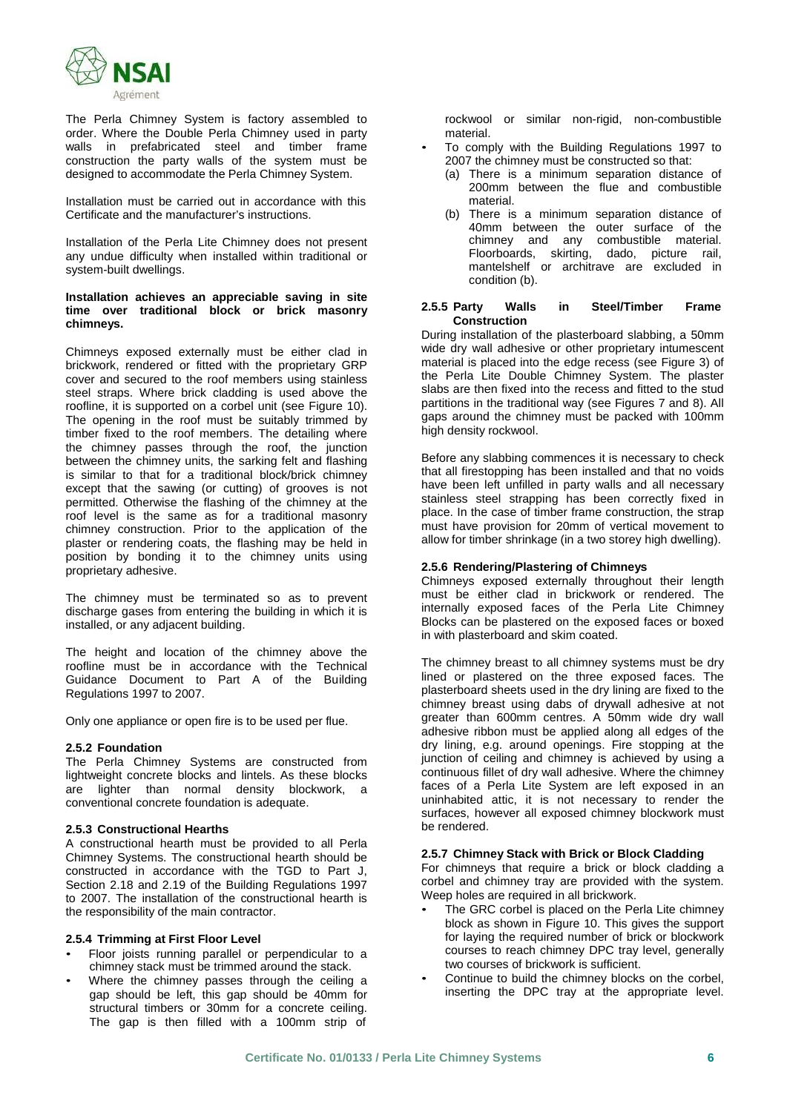

The Perla Chimney System is factory assembled to order. Where the Double Perla Chimney used in party walls in prefabricated steel and timber frame construction the party walls of the system must be designed to accommodate the Perla Chimney System.

Installation must be carried out in accordance with this Certificate and the manufacturer's instructions.

Installation of the Perla Lite Chimney does not present any undue difficulty when installed within traditional or system-built dwellings.

### **Installation achieves an appreciable saving in site time over traditional block or brick masonry chimneys.**

Chimneys exposed externally must be either clad in brickwork, rendered or fitted with the proprietary GRP cover and secured to the roof members using stainless steel straps. Where brick cladding is used above the roofline, it is supported on a corbel unit (see Figure 10). The opening in the roof must be suitably trimmed by timber fixed to the roof members. The detailing where the chimney passes through the roof, the junction between the chimney units, the sarking felt and flashing is similar to that for a traditional block/brick chimney except that the sawing (or cutting) of grooves is not permitted. Otherwise the flashing of the chimney at the roof level is the same as for a traditional masonry chimney construction. Prior to the application of the plaster or rendering coats, the flashing may be held in position by bonding it to the chimney units using proprietary adhesive.

The chimney must be terminated so as to prevent discharge gases from entering the building in which it is installed, or any adjacent building.

The height and location of the chimney above the roofline must be in accordance with the Technical Guidance Document to Part A of the Building Regulations 1997 to 2007.

Only one appliance or open fire is to be used per flue.

### **2.5.2 Foundation**

The Perla Chimney Systems are constructed from lightweight concrete blocks and lintels. As these blocks are lighter than normal density blockwork, a conventional concrete foundation is adequate.

### **2.5.3 Constructional Hearths**

A constructional hearth must be provided to all Perla Chimney Systems. The constructional hearth should be constructed in accordance with the TGD to Part J, Section 2.18 and 2.19 of the Building Regulations 1997 to 2007. The installation of the constructional hearth is the responsibility of the main contractor.

- **2.5.4 Trimming at First Floor Level** Floor joists running parallel or perpendicular to <sup>a</sup>
- Where the chimney passes through the ceiling a gap should be left, this gap should be 40mm for structural timbers or 30mm for a concrete ceiling. The gap is then filled with a 100mm strip of

rockwool or similar non-rigid, non-combustible

- material.<br>To comply with the Building Regulations 1997 to 2007 the chimney must be constructed so that:
	- (a) There is a minimum separation distance of 200mm between the flue and combustible material.
	- (b) There is a minimum separation distance of 40mm between the outer surface of the chimney and any combustible material. Floorboards, skirting, dado, picture rail, mantelshelf or architrave are excluded in condition (b).

#### **2.5.5 Party Walls in Steel/Timber Frame Construction**

During installation of the plasterboard slabbing, a 50mm wide dry wall adhesive or other proprietary intumescent material is placed into the edge recess (see Figure 3) of the Perla Lite Double Chimney System. The plaster slabs are then fixed into the recess and fitted to the stud partitions in the traditional way (see Figures 7 and 8). All gaps around the chimney must be packed with 100mm high density rockwool.

Before any slabbing commences it is necessary to check that all firestopping has been installed and that no voids have been left unfilled in party walls and all necessary stainless steel strapping has been correctly fixed in place. In the case of timber frame construction, the strap must have provision for 20mm of vertical movement to allow for timber shrinkage (in a two storey high dwelling).

### **2.5.6 Rendering/Plastering of Chimneys**

Chimneys exposed externally throughout their length must be either clad in brickwork or rendered. The internally exposed faces of the Perla Lite Chimney Blocks can be plastered on the exposed faces or boxed in with plasterboard and skim coated.

The chimney breast to all chimney systems must be dry lined or plastered on the three exposed faces. The plasterboard sheets used in the dry lining are fixed to the chimney breast using dabs of drywall adhesive at not greater than 600mm centres. A 50mm wide dry wall adhesive ribbon must be applied along all edges of the dry lining, e.g. around openings. Fire stopping at the junction of ceiling and chimney is achieved by using a continuous fillet of dry wall adhesive. Where the chimney faces of a Perla Lite System are left exposed in an uninhabited attic, it is not necessary to render the surfaces, however all exposed chimney blockwork must be rendered.

### **2.5.7 Chimney Stack with Brick or Block Cladding**

For chimneys that require a brick or block cladding a corbel and chimney tray are provided with the system.<br>Weep holes are required in all brickwork.

- The GRC corbel is placed on the Perla Lite chimney block as shown in Figure 10. This gives the support for laying the required number of brick or blockwork courses to reach chimney DPC tray level, generally two courses of brickwork is sufficient.
- Continue to build the chimney blocks on the corbel. inserting the DPC tray at the appropriate level.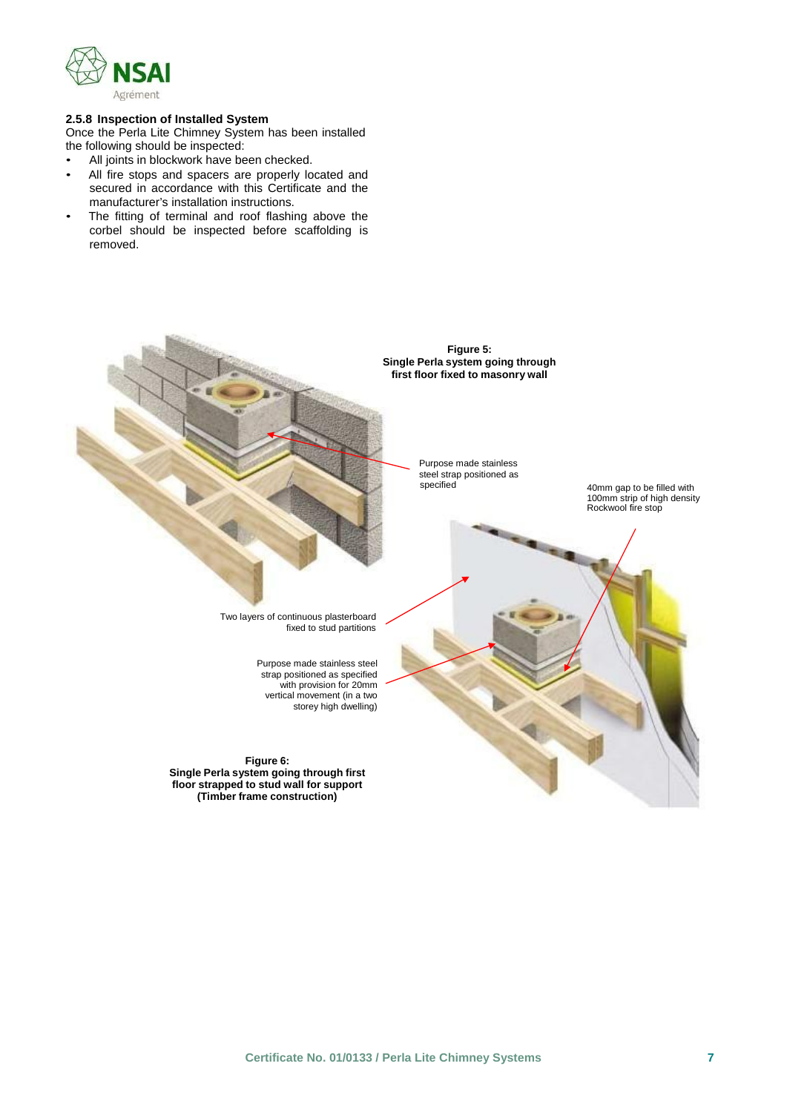

### **2.5.8 Inspection of Installed System**

Once the Perla Lite Chimney System has been installed the following should be inspected:

- 
- All joints in blockwork have been checked.<br>• All fire stops and spacers are properly located and secured in accordance with this Certificate and the
- manufacturer's installation instructions.<br>The fitting of terminal and roof flashing above the corbel should be inspected before scaffolding is removed.

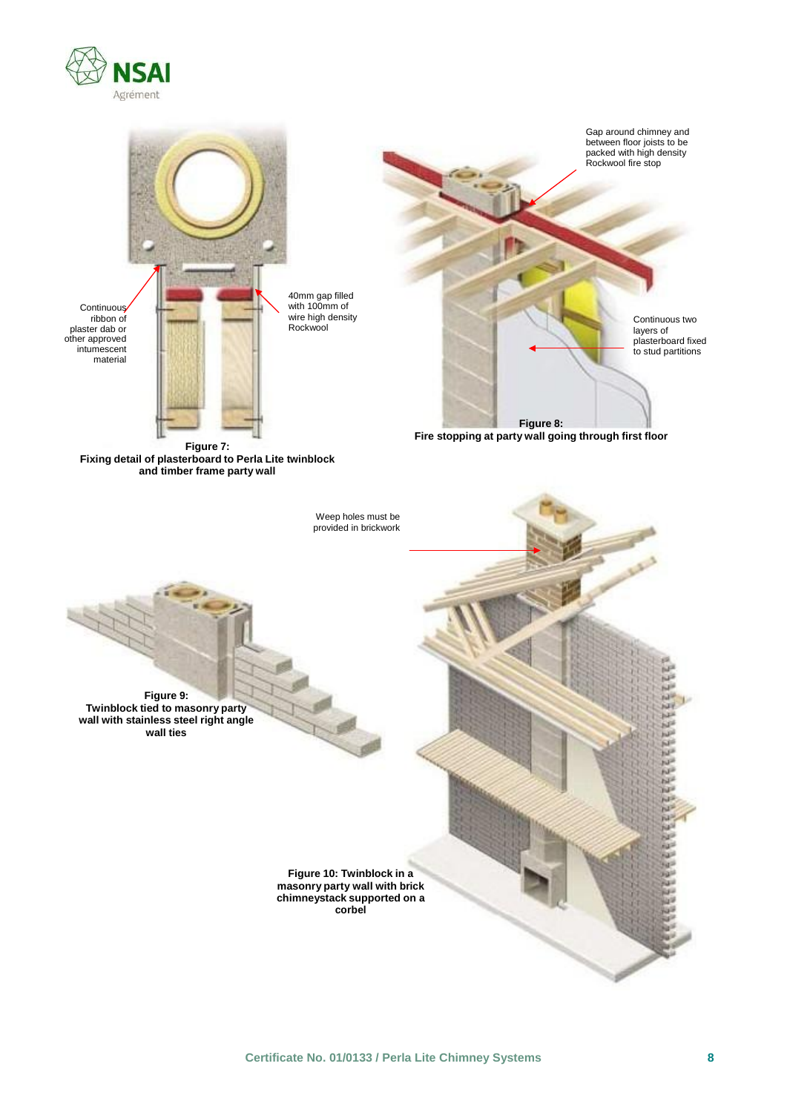

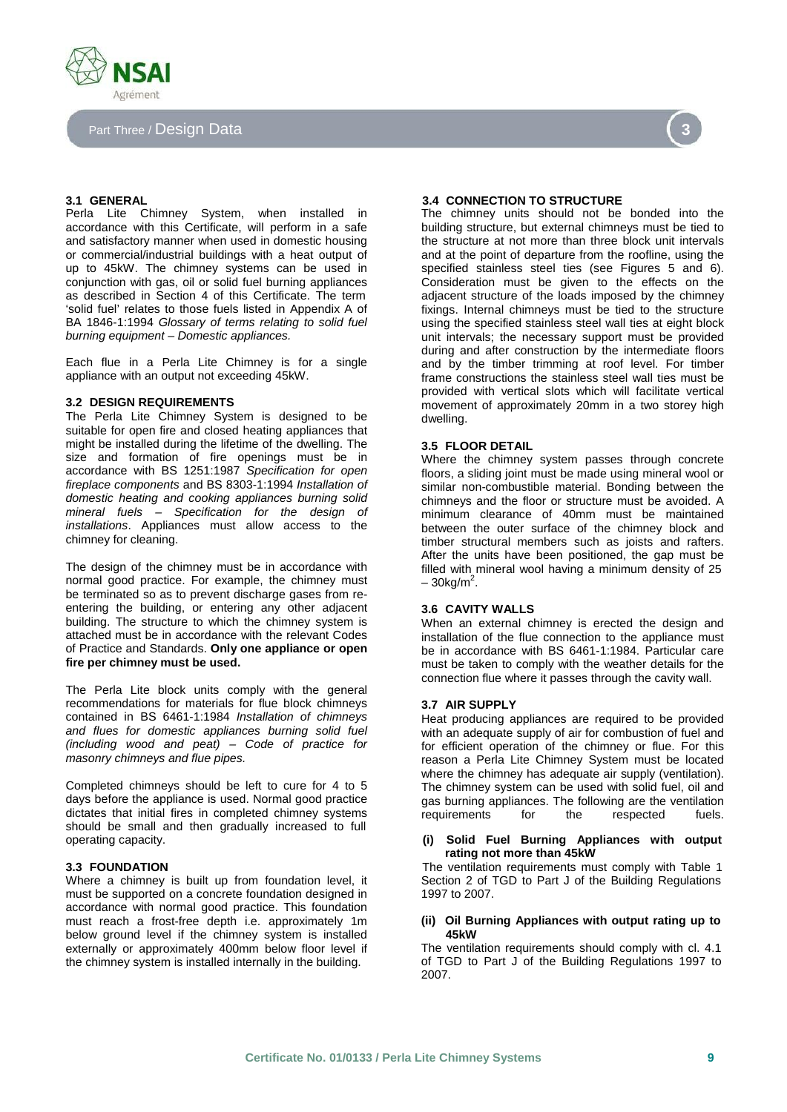

### Part Three / Design Data **3**

Perla Lite Chimney System, when installed in accordance with this Certificate, will perform in a safe and satisfactory manner when used in domestic housing or commercial/industrial buildings with a heat output of up to 45kW. The chimney systems can be used in conjunction with gas, oil or solid fuel burning appliances as described in Section 4 of this Certificate. The term 'solid fuel' relates to those fuels listed in Appendix A of BA 1846-1:1994 *Glossary of terms relating to solid fuel burning equipment – Domestic appliances.*

Each flue in a Perla Lite Chimney is for a single appliance with an output not exceeding 45kW.

#### **3.2 DESIGN REQUIREMENTS**

The Perla Lite Chimney System is designed to be suitable for open fire and closed heating appliances that might be installed during the lifetime of the dwelling. The size and formation of fire openings must be in accordance with BS 1251:1987 *Specification for open fireplace components* and BS 8303-1:1994 *Installation of domestic heating and cooking appliances burning solid mineral fuels – Specification for the design of installations*. Appliances must allow access to the chimney for cleaning.

The design of the chimney must be in accordance with normal good practice. For example, the chimney must be terminated so as to prevent discharge gases from re entering the building, or entering any other adjacent building. The structure to which the chimney system is attached must be in accordance with the relevant Codes of Practice and Standards. **Only one appliance or open fire per chimney must be used.**

The Perla Lite block units comply with the general recommendations for materials for flue block chimneys contained in BS 6461-1:1984 *Installation of chimneys and flues for domestic appliances burning solid fuel (including wood and peat) – Code of practice for masonry chimneys and flue pipes.*

Completed chimneys should be left to cure for 4 to 5 days before the appliance is used. Normal good practice dictates that initial fires in completed chimney systems should be small and then gradually increased to full operating capacity.

Where a chimney is built up from foundation level, it must be supported on a concrete foundation designed in accordance with normal good practice. This foundation must reach a frost-free depth i.e. approximately 1m below ground level if the chimney system is installed externally or approximately 400mm below floor level if the chimney system is installed internally in the building.



### **3.1 GENERAL 3.4 CONNECTION TO STRUCTURE**

The chimney units should not be bonded into the building structure, but external chimneys must be tied to the structure at not more than three block unit intervals and at the point of departure from the roofline, using the specified stainless steel ties (see Figures 5 and 6). Consideration must be given to the effects on the adjacent structure of the loads imposed by the chimney fixings. Internal chimneys must be tied to the structure using the specified stainless steel wall ties at eight block unit intervals; the necessary support must be provided during and after construction by the intermediate floors and by the timber trimming at roof level. For timber frame constructions the stainless steel wall ties must be provided with vertical slots which will facilitate vertical movement of approximately 20mm in a two storey high dwelling.

### **3.5 FLOOR DETAIL**

Where the chimney system passes through concrete floors, a sliding joint must be made using mineral wool or similar non-combustible material. Bonding between the chimneys and the floor or structure must be avoided. A minimum clearance of 40mm must be maintained between the outer surface of the chimney block and timber structural members such as joists and rafters. After the units have been positioned, the gap must be filled with mineral wool having a minimum density of 25  $-30$ kg/m $^2$ .

### **3.6 CAVITY WALLS**

When an external chimney is erected the design and installation of the flue connection to the appliance must be in accordance with BS 6461-1:1984. Particular care must be taken to comply with the weather details for the connection flue where it passes through the cavity wall.

### **3.7 AIR SUPPLY**

Heat producing appliances are required to be provided with an adequate supply of air for combustion of fuel and for efficient operation of the chimney or flue. For this reason a Perla Lite Chimney System must be located where the chimney has adequate air supply (ventilation). The chimney system can be used with solid fuel, oil and gas burning appliances. The following are the ventilation<br>requirements for the respected fuels. requirements for the respected fuels.

#### operating capacity. **(i) Solid Fuel Burning Appliances with output rating not more than 45kW**

**3.3 FOUNDATION** The ventilation requirements must comply with Table 1 Section 2 of TGD to Part J of the Building Regulations 1997 to 2007.

### **(ii) Oil Burning Appliances with output rating up to 45kW**

The ventilation requirements should comply with cl. 4.1 of TGD to Part J of the Building Regulations 1997 to 2007.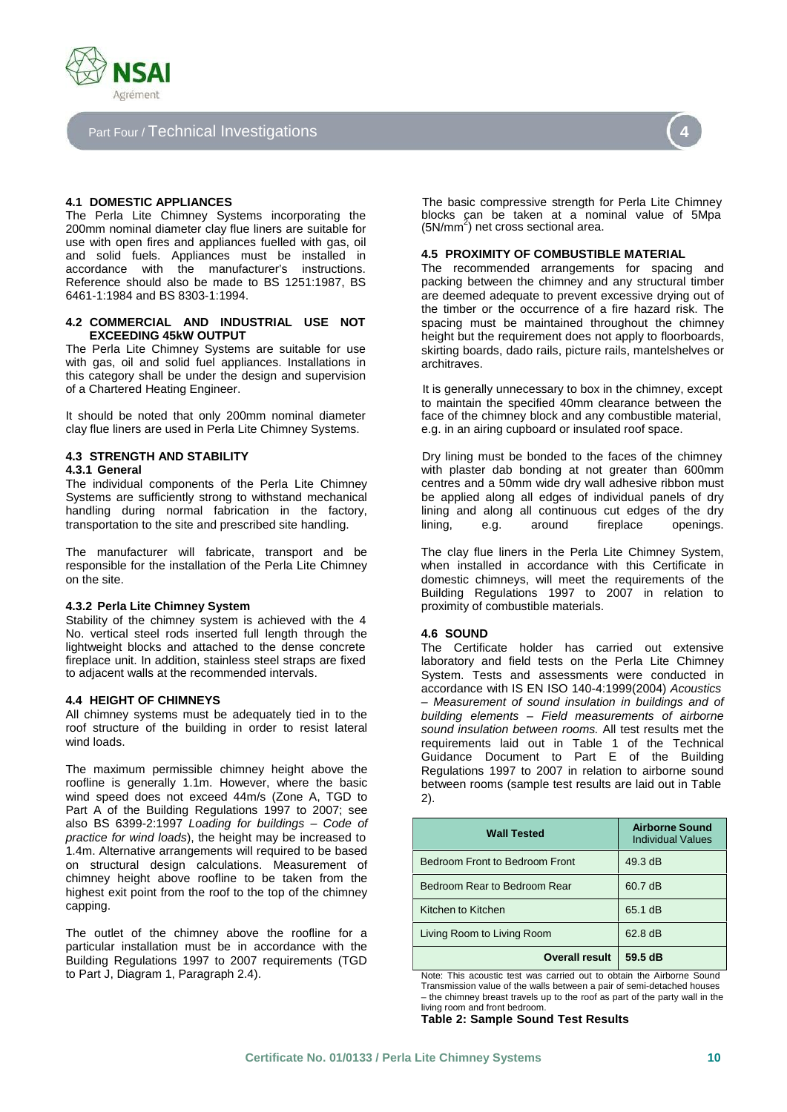

## Part Four / Technical Investigations **4**

The Perla Lite Chimney Systems incorporating the 200mm nominal diameter clay flue liners are suitable for use with open fires and appliances fuelled with gas, oil and solid fuels. Appliances must be installed in accordance with the manufacturer's instructions. Reference should also be made to BS 1251:1987, BS 6461-1:1984 and BS 8303-1:1994.

#### **4.2 COMMERCIAL AND INDUSTRIAL USE NOT EXCEEDING 45kW OUTPUT**

The Perla Lite Chimney Systems are suitable for use with gas, oil and solid fuel appliances. Installations in this category shall be under the design and supervision of a Chartered Heating Engineer. The intervally unnecessary to box in the chimney, except

It should be noted that only 200mm nominal diameter clay flue liners are used in Perla Lite Chimney Systems.

#### **4.3.1 General**

The individual components of the Perla Lite Chimney Systems are sufficiently strong to withstand mechanical handling during normal fabrication in the factory, transportation to the site and prescribed site handling.

The manufacturer will fabricate, transport and be responsible for the installation of the Perla Lite Chimney on the site.

#### **4.3.2 Perla Lite Chimney System**

Stability of the chimney system is achieved with the 4 No. vertical steel rods inserted full length through the lightweight blocks and attached to the dense concrete fireplace unit. In addition, stainless steel straps are fixed to adjacent walls at the recommended intervals.

### **4.4 HEIGHT OF CHIMNEYS**

All chimney systems must be adequately tied in to the roof structure of the building in order to resist lateral wind loads.

The maximum permissible chimney height above the roofline is generally 1.1m. However, where the basic wind speed does not exceed 44m/s (Zone A, TGD to Part A of the Building Regulations 1997 to 2007; see also BS 6399-2:1997 *Loading for buildings – Code of practice for wind loads*), the height may be increased to 1.4m. Alternative arrangements will required to be based on structural design calculations. Measurement of chimney height above roofline to be taken from the highest exit point from the roof to the top of the chimney capping.

The outlet of the chimney above the roofline for a particular installation must be in accordance with the Building Regulations 1997 to 2007 requirements (TGD to Part J, Diagram 1, Paragraph 2.4).

**4.1 DOMESTIC APPLIANCES** The basic compressive strength for Perla Lite Chimney blocks can be taken at a nominal value of 5Mpa (5N/mm<sup>2</sup>) net cross sectional area.

#### **4.5 PROXIMITY OF COMBUSTIBLE MATERIAL**

The recommended arrangements for spacing and packing between the chimney and any structural timber are deemed adequate to prevent excessive drying out of the timber or the occurrence of a fire hazard risk. The spacing must be maintained throughout the chimney height but the requirement does not apply to floorboards, skirting boards, dado rails, picture rails, mantelshelves or architraves.

to maintain the specified 40mm clearance between the face of the chimney block and any combustible material, e.g. in an airing cupboard or insulated roof space.

**4.3 STRENGTH AND STABILITY DEV** Dry lining must be bonded to the faces of the chimney with plaster dab bonding at not greater than 600mm centres and a 50mm wide dry wall adhesive ribbon must be applied along all edges of individual panels of dry lining and along all continuous cut edges of the dry lining, e.g. around fireplace openings.

> The clay flue liners in the Perla Lite Chimney System, when installed in accordance with this Certificate in domestic chimneys, will meet the requirements of the Building Regulations 1997 to 2007 in relation to proximity of combustible materials.

#### **4.6 SOUND**

The Certificate holder has carried out extensive laboratory and field tests on the Perla Lite Chimney System. Tests and assessments were conducted in accordance with IS EN ISO 140-4:1999(2004) *Acoustics – Measurement of sound insulation in buildings and of building elements – Field measurements of airborne sound insulation between rooms.* All test results met the requirements laid out in Table 1 of the Technical Guidance Document to Part E of the Building Regulations 1997 to 2007 in relation to airborne sound between rooms (sample test results are laid out in Table 2).

| <b>Wall Tested</b>             | <b>Airborne Sound</b><br><b>Individual Values</b> |  |
|--------------------------------|---------------------------------------------------|--|
| Bedroom Front to Bedroom Front | $49.3 \text{ dB}$                                 |  |
| Bedroom Rear to Bedroom Rear   | 60.7 dB                                           |  |
| Kitchen to Kitchen             | 65.1 dB                                           |  |
| Living Room to Living Room     | 62.8 dB                                           |  |
| <b>Overall result</b>          | 59.5 dB                                           |  |

Note: This acoustic test was carried out to obtain the Airborne Sound Transmission value of the walls between a pair of semi-detached houses – the chimney breast travels up to the roof as part of the party wall in the living room and front bedroom. **Table 2: Sample Sound Test Results**

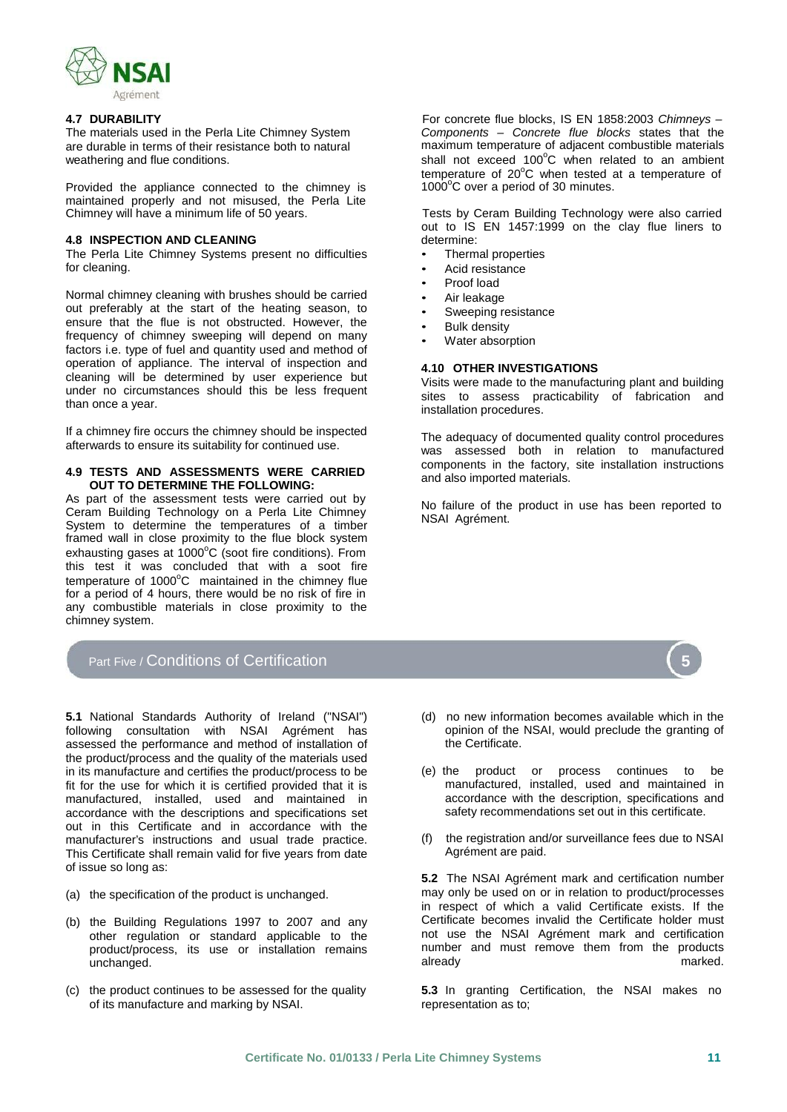

The materials used in the Perla Lite Chimney System are durable in terms of their resistance both to natural weathering and flue conditions.

Provided the appliance connected to the chimney is maintained properly and not misused, the Perla Lite Chimney will have a minimum life of 50 years.

### **4.8 INSPECTION AND CLEANING**

The Perla Lite Chimney Systems present no difficulties for cleaning.

Normal chimney cleaning with brushes should be carried out preferably at the start of the heating season, to ensure that the flue is not obstructed. However, the frequency of chimney sweeping will depend on many factors i.e. type of fuel and quantity used and method of operation of appliance. The interval of inspection and cleaning will be determined by user experience but under no circumstances should this be less frequent than once a year.

If a chimney fire occurs the chimney should be inspected afterwards to ensure its suitability for continued use.

### **4.9 TESTS AND ASSESSMENTS WERE CARRIED OUT TO DETERMINE THE FOLLOWING:**

As part of the assessment tests were carried out by Ceram Building Technology on a Perla Lite Chimney System to determine the temperatures of a timber framed wall in close proximity to the flue block system exhausting gases at  $1000^{\circ}$ C (soot fire conditions). From this test it was concluded that with a soot fire temperature of  $1000^{\circ}$ C maintained in the chimney flue for a period of 4 hours, there would be no risk of fire in any combustible materials in close proximity to the chimney system.

## Part Five / Conditions of Certification **5**

**5.1** National Standards Authority of Ireland ("NSAI") following consultation with NSAI Agrément has assessed the performance and method of installation of the product/process and the quality of the materials used in its manufacture and certifies the product/process to be fit for the use for which it is certified provided that it is manufactured, installed, used and maintained in accordance with the descriptions and specifications set out in this Certificate and in accordance with the manufacturer's instructions and usual trade practice. This Certificate shall remain valid for five years from date of issue so long as:

- (a) the specification of the product is unchanged.
- (b) the Building Regulations 1997 to 2007 and any other regulation or standard applicable to the product/process, its use or installation remains unchanged.
- (c) the product continues to be assessed for the quality of its manufacture and marking by NSAI.

**4.7 DURABILITY** For concrete flue blocks, IS EN 1858:2003 *Chimneys – Components – Concrete flue blocks* states that the maximum temperature of adjacent combustible materials shall not exceed 100°C when related to an ambient temperature of  $20^{\circ}$ C when tested at a temperature of 1000°C over a period of 30 minutes.

> Tests by Ceram Building Technology were also carried out to IS EN 1457:1999 on the clay flue liners to determine:

- Thermal properties
- Acid resistance
- Proof load
- Air leakage
- Sweeping resistance
- **Bulk density**
- Water absorption

### **4.10 OTHER INVESTIGATIONS**

Visits were made to the manufacturing plant and building sites to assess practicability of fabrication and installation procedures.

The adequacy of documented quality control procedures was assessed both in relation to manufactured components in the factory, site installation instructions and also imported materials.

No failure of the product in use has been reported to NSAI Agrément.

- (d) no new information becomes available which in the opinion of the NSAI, would preclude the granting of the Certificate.
- (e) the product or process continues to be manufactured, installed, used and maintained in accordance with the description, specifications and safety recommendations set out in this certificate.
- (f) the registration and/or surveillance fees due to NSAI Agrément are paid.

**5.2** The NSAI Agrément mark and certification number may only be used on or in relation to product/processes in respect of which a valid Certificate exists. If the Certificate becomes invalid the Certificate holder must not use the NSAI Agrément mark and certification number and must remove them from the products already marked.

**5.3** In granting Certification, the NSAI makes no representation as to;